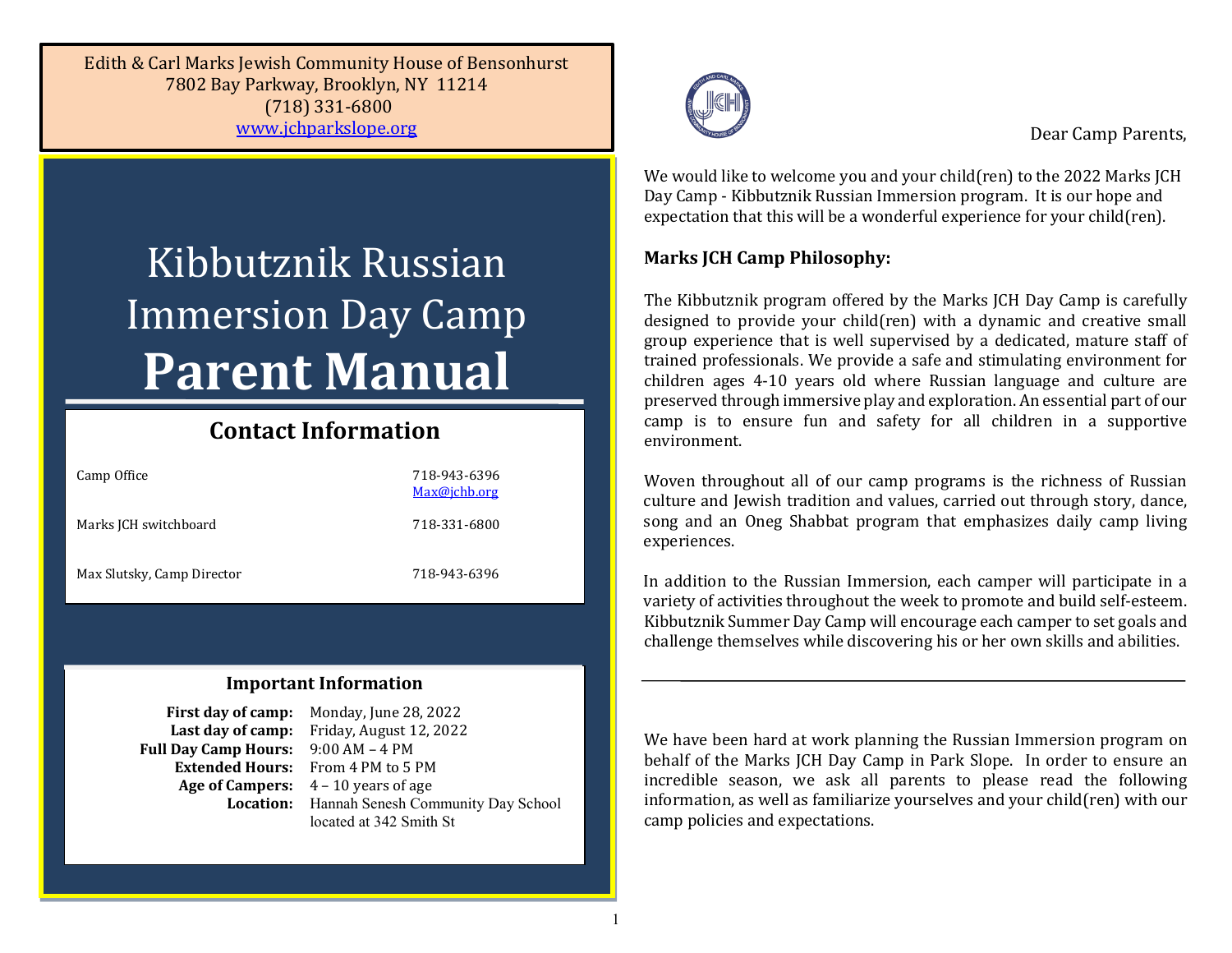Edith & Carl Marks Jewish Community House of Bensonhurst 7802 Bay Parkway, Brooklyn, NY 11214 (718) 331-6800 [www.jchparkslope.org](http://www.jchparkslope.org/) 

# Kibbutznik Russian Immersion Day Camp **Parent Manual**

## **Contact Information**

| Camp Office                | 718-943-6396<br>Max@jchb.org |
|----------------------------|------------------------------|
| Marks JCH switchboard      | 718-331-6800                 |
| Max Slutsky, Camp Director | 718-943-6396                 |

## **Important Information**

**Full Day Camp Hours:** 

**First day of camp:** Monday, June 28, 2022 **Last day of camp:** Friday, August 12, 2022<br>Day Camp Hours: 9:00 AM – 4 PM **Extended Hours:** From 4 PM to 5 PM **Age of Campers:** 4 – 10 years of age **Location:** Hannah Senesh Community Day School located at 342 Smith St



Dear Camp Parents,

We would like to welcome you and your child(ren) to the 2022 Marks JCH Day Camp - Kibbutznik Russian Immersion program. It is our hope and expectation that this will be a wonderful experience for your child(ren).

## **Marks JCH Camp Philosophy:**

The Kibbutznik program offered by the Marks JCH Day Camp is carefully designed to provide your child(ren) with a dynamic and creative small group experience that is well supervised by a dedicated, mature staff of trained professionals. We provide a safe and stimulating environment for children ages 4-10 years old where Russian language and culture are preserved through immersive play and exploration. An essential part of our camp is to ensure fun and safety for all children in a supportive environment.

Woven throughout all of our camp programs is the richness of Russian culture and Jewish tradition and values, carried out through story, dance, song and an Oneg Shabbat program that emphasizes daily camp living experiences.

In addition to the Russian Immersion, each camper will participate in a variety of activities throughout the week to promote and build self-esteem. Kibbutznik Summer Day Camp will encourage each camper to set goals and challenge themselves while discovering his or her own skills and abilities.

We have been hard at work planning the Russian Immersion program on behalf of the Marks JCH Day Camp in Park Slope. In order to ensure an incredible season, we ask all parents to please read the following information, as well as familiarize yourselves and your child(ren) with our camp policies and expectations.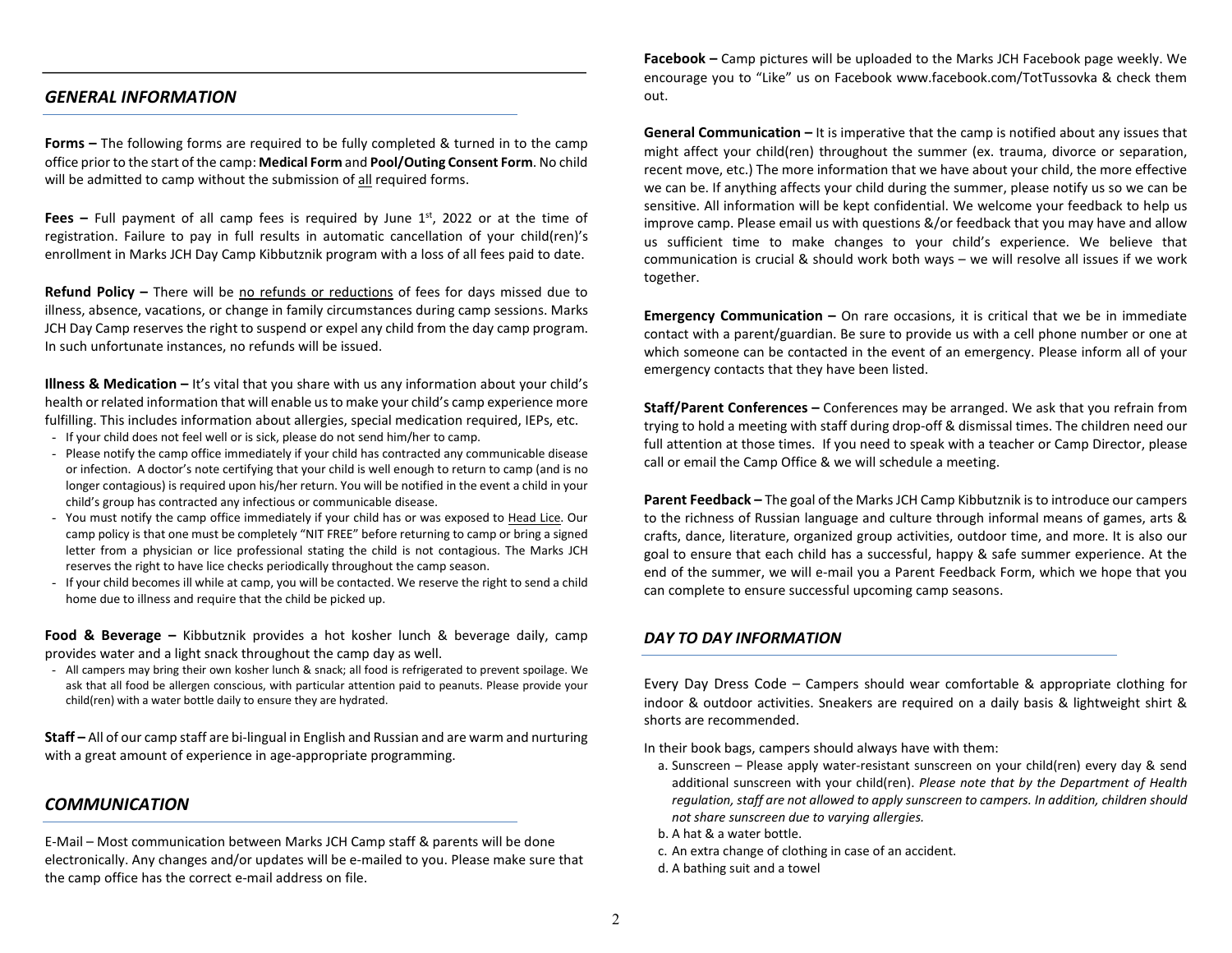#### *GENERAL INFORMATION*

**Forms –** The following forms are required to be fully completed & turned in to the camp office prior to the start of the camp: **Medical Form** and **Pool/Outing Consent Form**. No child will be admitted to camp without the submission of all required forms.

**Fees –** Full payment of all camp fees is required by June  $1<sup>st</sup>$ , 2022 or at the time of registration. Failure to pay in full results in automatic cancellation of your child(ren)'s enrollment in Marks JCH Day Camp Kibbutznik program with a loss of all fees paid to date.

**Refund Policy –** There will be no refunds or reductions of fees for days missed due to illness, absence, vacations, or change in family circumstances during camp sessions. Marks JCH Day Camp reserves the right to suspend or expel any child from the day camp program. In such unfortunate instances, no refunds will be issued.

**Illness & Medication –** It's vital that you share with us any information about your child's health or related information that will enable us to make your child's camp experience more fulfilling. This includes information about allergies, special medication required, IEPs, etc.

- If your child does not feel well or is sick, please do not send him/her to camp.
- Please notify the camp office immediately if your child has contracted any communicable disease or infection. A doctor's note certifying that your child is well enough to return to camp (and is no longer contagious) is required upon his/her return. You will be notified in the event a child in your child's group has contracted any infectious or communicable disease.
- You must notify the camp office immediately if your child has or was exposed to Head Lice. Our camp policy is that one must be completely "NIT FREE" before returning to camp or bring a signed letter from a physician or lice professional stating the child is not contagious. The Marks JCH reserves the right to have lice checks periodically throughout the camp season.
- If your child becomes ill while at camp, you will be contacted. We reserve the right to send a child home due to illness and require that the child be picked up.

**Food & Beverage –** Kibbutznik provides a hot kosher lunch & beverage daily, camp provides water and a light snack throughout the camp day as well.

- All campers may bring their own kosher lunch & snack; all food is refrigerated to prevent spoilage. We ask that all food be allergen conscious, with particular attention paid to peanuts. Please provide your child(ren) with a water bottle daily to ensure they are hydrated.

**Staff –** All of our camp staff are bi-lingual in English and Russian and are warm and nurturing with a great amount of experience in age-appropriate programming.

#### *COMMUNICATION*

E-Mail – Most communication between Marks JCH Camp staff & parents will be done electronically. Any changes and/or updates will be e-mailed to you. Please make sure that the camp office has the correct e-mail address on file.

**Facebook –** Camp pictures will be uploaded to the Marks JCH Facebook page weekly. We encourage you to "Like" us on Facebook www.facebook.com/TotTussovka & check them out.

**General Communication –** It is imperative that the camp is notified about any issues that might affect your child(ren) throughout the summer (ex. trauma, divorce or separation, recent move, etc.) The more information that we have about your child, the more effective we can be. If anything affects your child during the summer, please notify us so we can be sensitive. All information will be kept confidential. We welcome your feedback to help us improve camp. Please email us with questions &/or feedback that you may have and allow us sufficient time to make changes to your child's experience. We believe that communication is crucial & should work both ways – we will resolve all issues if we work together.

**Emergency Communication –** On rare occasions, it is critical that we be in immediate contact with a parent/guardian. Be sure to provide us with a cell phone number or one at which someone can be contacted in the event of an emergency. Please inform all of your emergency contacts that they have been listed.

**Staff/Parent Conferences –** Conferences may be arranged. We ask that you refrain from trying to hold a meeting with staff during drop-off & dismissal times. The children need our full attention at those times. If you need to speak with a teacher or Camp Director, please call or email the Camp Office & we will schedule a meeting.

**Parent Feedback –** The goal of the Marks JCH Camp Kibbutznik is to introduce our campers to the richness of Russian language and culture through informal means of games, arts & crafts, dance, literature, organized group activities, outdoor time, and more. It is also our goal to ensure that each child has a successful, happy & safe summer experience. At the end of the summer, we will e-mail you a Parent Feedback Form, which we hope that you can complete to ensure successful upcoming camp seasons.

#### *DAY TO DAY INFORMATION*

Every Day Dress Code – Campers should wear comfortable & appropriate clothing for indoor & outdoor activities. Sneakers are required on a daily basis & lightweight shirt & shorts are recommended.

In their book bags, campers should always have with them:

- a. Sunscreen Please apply water-resistant sunscreen on your child(ren) every day & send additional sunscreen with your child(ren). *Please note that by the Department of Health regulation, staff are not allowed to apply sunscreen to campers. In addition, children should not share sunscreen due to varying allergies.*
- b. A hat & a water bottle.
- c. An extra change of clothing in case of an accident.
- d. A bathing suit and a towel